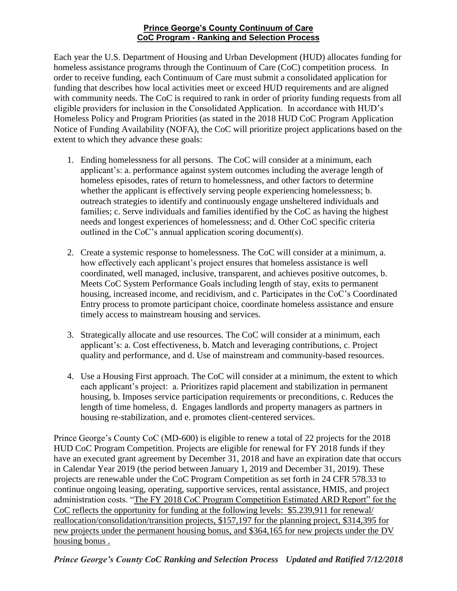## **Prince George's County Continuum of Care CoC Program - Ranking and Selection Process**

Each year the U.S. Department of Housing and Urban Development (HUD) allocates funding for homeless assistance programs through the Continuum of Care (CoC) competition process. In order to receive funding, each Continuum of Care must submit a consolidated application for funding that describes how local activities meet or exceed HUD requirements and are aligned with community needs. The CoC is required to rank in order of priority funding requests from all eligible providers for inclusion in the Consolidated Application. In accordance with HUD's Homeless Policy and Program Priorities (as stated in the 2018 HUD CoC Program Application Notice of Funding Availability (NOFA), the CoC will prioritize project applications based on the extent to which they advance these goals:

- 1. Ending homelessness for all persons. The CoC will consider at a minimum, each applicant's: a. performance against system outcomes including the average length of homeless episodes, rates of return to homelessness, and other factors to determine whether the applicant is effectively serving people experiencing homelessness; b. outreach strategies to identify and continuously engage unsheltered individuals and families; c. Serve individuals and families identified by the CoC as having the highest needs and longest experiences of homelessness; and d. Other CoC specific criteria outlined in the CoC's annual application scoring document(s).
- 2. Create a systemic response to homelessness. The CoC will consider at a minimum, a. how effectively each applicant's project ensures that homeless assistance is well coordinated, well managed, inclusive, transparent, and achieves positive outcomes, b. Meets CoC System Performance Goals including length of stay, exits to permanent housing, increased income, and recidivism, and c. Participates in the CoC's Coordinated Entry process to promote participant choice, coordinate homeless assistance and ensure timely access to mainstream housing and services.
- 3. Strategically allocate and use resources. The CoC will consider at a minimum, each applicant's: a. Cost effectiveness, b. Match and leveraging contributions, c. Project quality and performance, and d. Use of mainstream and community-based resources.
- 4. Use a Housing First approach. The CoC will consider at a minimum, the extent to which each applicant's project: a. Prioritizes rapid placement and stabilization in permanent housing, b. Imposes service participation requirements or preconditions, c. Reduces the length of time homeless, d. Engages landlords and property managers as partners in housing re-stabilization, and e. promotes client-centered services.

Prince George's County CoC (MD-600) is eligible to renew a total of 22 projects for the 2018 HUD CoC Program Competition. Projects are eligible for renewal for FY 2018 funds if they have an executed grant agreement by December 31, 2018 and have an expiration date that occurs in Calendar Year 2019 (the period between January 1, 2019 and December 31, 2019). These projects are renewable under the CoC Program Competition as set forth in 24 CFR 578.33 to continue ongoing leasing, operating, supportive services, rental assistance, HMIS, and project administration costs. "The FY 2018 CoC Program Competition Estimated ARD Report" for the CoC reflects the opportunity for funding at the following levels: \$5.239,911 for renewal/ reallocation/consolidation/transition projects, \$157,197 for the planning project, \$314,395 for new projects under the permanent housing bonus, and \$364,165 for new projects under the DV housing bonus .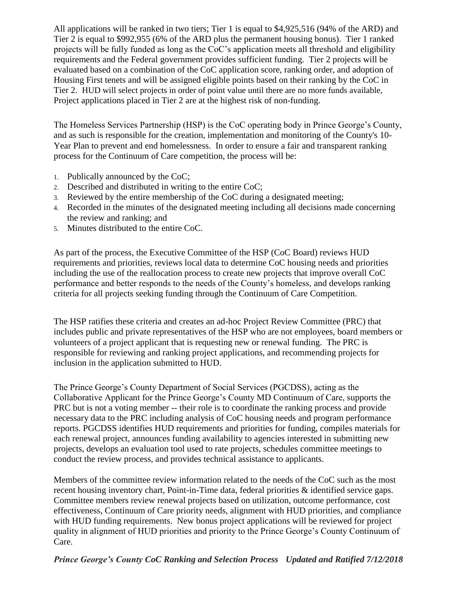All applications will be ranked in two tiers; Tier 1 is equal to \$4,925,516 (94% of the ARD) and Tier 2 is equal to \$992,955 (6% of the ARD plus the permanent housing bonus). Tier 1 ranked projects will be fully funded as long as the CoC's application meets all threshold and eligibility requirements and the Federal government provides sufficient funding. Tier 2 projects will be evaluated based on a combination of the CoC application score, ranking order, and adoption of Housing First tenets and will be assigned eligible points based on their ranking by the CoC in Tier 2. HUD will select projects in order of point value until there are no more funds available, Project applications placed in Tier 2 are at the highest risk of non-funding.

The Homeless Services Partnership (HSP) is the CoC operating body in Prince George's County, and as such is responsible for the creation, implementation and monitoring of the County's 10- Year Plan to prevent and end homelessness. In order to ensure a fair and transparent ranking process for the Continuum of Care competition, the process will be:

- 1. Publically announced by the CoC;
- 2. Described and distributed in writing to the entire CoC;
- 3. Reviewed by the entire membership of the CoC during a designated meeting;
- 4. Recorded in the minutes of the designated meeting including all decisions made concerning the review and ranking; and
- 5. Minutes distributed to the entire CoC.

As part of the process, the Executive Committee of the HSP (CoC Board) reviews HUD requirements and priorities, reviews local data to determine CoC housing needs and priorities including the use of the reallocation process to create new projects that improve overall CoC performance and better responds to the needs of the County's homeless, and develops ranking criteria for all projects seeking funding through the Continuum of Care Competition.

The HSP ratifies these criteria and creates an ad-hoc Project Review Committee (PRC) that includes public and private representatives of the HSP who are not employees, board members or volunteers of a project applicant that is requesting new or renewal funding. The PRC is responsible for reviewing and ranking project applications, and recommending projects for inclusion in the application submitted to HUD.

The Prince George's County Department of Social Services (PGCDSS), acting as the Collaborative Applicant for the Prince George's County MD Continuum of Care, supports the PRC but is not a voting member -- their role is to coordinate the ranking process and provide necessary data to the PRC including analysis of CoC housing needs and program performance reports. PGCDSS identifies HUD requirements and priorities for funding, compiles materials for each renewal project, announces funding availability to agencies interested in submitting new projects, develops an evaluation tool used to rate projects, schedules committee meetings to conduct the review process, and provides technical assistance to applicants.

Members of the committee review information related to the needs of the CoC such as the most recent housing inventory chart, Point-in-Time data, federal priorities & identified service gaps. Committee members review renewal projects based on utilization, outcome performance, cost effectiveness, Continuum of Care priority needs, alignment with HUD priorities, and compliance with HUD funding requirements. New bonus project applications will be reviewed for project quality in alignment of HUD priorities and priority to the Prince George's County Continuum of Care.

## *Prince George's County CoC Ranking and Selection Process Updated and Ratified 7/12/2018*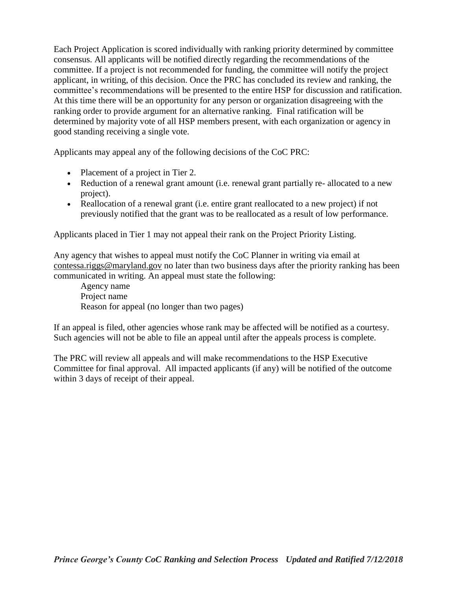Each Project Application is scored individually with ranking priority determined by committee consensus. All applicants will be notified directly regarding the recommendations of the committee. If a project is not recommended for funding, the committee will notify the project applicant, in writing, of this decision. Once the PRC has concluded its review and ranking, the committee's recommendations will be presented to the entire HSP for discussion and ratification. At this time there will be an opportunity for any person or organization disagreeing with the ranking order to provide argument for an alternative ranking. Final ratification will be determined by majority vote of all HSP members present, with each organization or agency in good standing receiving a single vote.

Applicants may appeal any of the following decisions of the CoC PRC:

- Placement of a project in Tier 2.
- Reduction of a renewal grant amount (i.e. renewal grant partially re-allocated to a new project).
- Reallocation of a renewal grant (i.e. entire grant reallocated to a new project) if not previously notified that the grant was to be reallocated as a result of low performance.

Applicants placed in Tier 1 may not appeal their rank on the Project Priority Listing.

Any agency that wishes to appeal must notify the CoC Planner in writing via email at [contessa.riggs@maryland.gov](mailto:contessa.riggs@maryland.gov) no later than two business days after the priority ranking has been communicated in writing. An appeal must state the following:

Agency name Project name Reason for appeal (no longer than two pages)

If an appeal is filed, other agencies whose rank may be affected will be notified as a courtesy. Such agencies will not be able to file an appeal until after the appeals process is complete.

The PRC will review all appeals and will make recommendations to the HSP Executive Committee for final approval. All impacted applicants (if any) will be notified of the outcome within 3 days of receipt of their appeal.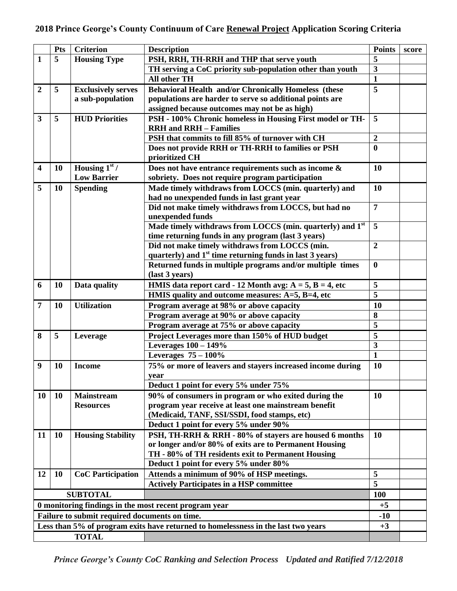|                                                                                   | <b>Pts</b>   | <b>Criterion</b>          | <b>Description</b>                                                                        | <b>Points</b>           | score |  |  |
|-----------------------------------------------------------------------------------|--------------|---------------------------|-------------------------------------------------------------------------------------------|-------------------------|-------|--|--|
| 1                                                                                 | 5            | <b>Housing Type</b>       | PSH, RRH, TH-RRH and THP that serve youth                                                 | 5                       |       |  |  |
|                                                                                   |              |                           | TH serving a CoC priority sub-population other than youth                                 | $\overline{\mathbf{3}}$ |       |  |  |
|                                                                                   |              |                           | All other TH                                                                              | $\mathbf{1}$            |       |  |  |
| $\overline{2}$                                                                    | 5            | <b>Exclusively serves</b> | <b>Behavioral Health and/or Chronically Homeless (these</b>                               | 5                       |       |  |  |
|                                                                                   |              | a sub-population          | populations are harder to serve so additional points are                                  |                         |       |  |  |
|                                                                                   |              |                           | assigned because outcomes may not be as high)                                             |                         |       |  |  |
| $\mathbf{3}$                                                                      | 5            | <b>HUD Priorities</b>     | PSH - 100% Chronic homeless in Housing First model or TH-                                 | 5                       |       |  |  |
|                                                                                   |              |                           | <b>RRH</b> and <b>RRH</b> - Families                                                      |                         |       |  |  |
|                                                                                   |              |                           | PSH that commits to fill 85% of turnover with CH                                          | $\overline{2}$          |       |  |  |
|                                                                                   |              |                           | Does not provide RRH or TH-RRH to families or PSH                                         | $\bf{0}$                |       |  |  |
|                                                                                   |              |                           | prioritized CH                                                                            |                         |       |  |  |
| $\overline{\mathbf{4}}$                                                           | <b>10</b>    | Housing $1st$ /           | Does not have entrance requirements such as income &                                      | 10                      |       |  |  |
|                                                                                   |              | <b>Low Barrier</b>        | sobriety. Does not require program participation                                          |                         |       |  |  |
| 5                                                                                 | 10           | <b>Spending</b>           | Made timely withdraws from LOCCS (min. quarterly) and                                     | 10                      |       |  |  |
|                                                                                   |              |                           | had no unexpended funds in last grant year                                                |                         |       |  |  |
|                                                                                   |              |                           | Did not make timely withdraws from LOCCS, but had no                                      | $\overline{7}$          |       |  |  |
|                                                                                   |              |                           | unexpended funds<br>Made timely withdraws from LOCCS (min. quarterly) and 1 <sup>st</sup> | 5                       |       |  |  |
|                                                                                   |              |                           | time returning funds in any program (last 3 years)                                        |                         |       |  |  |
|                                                                                   |              |                           | Did not make timely withdraws from LOCCS (min.                                            | $\overline{2}$          |       |  |  |
|                                                                                   |              |                           | quarterly) and $1st$ time returning funds in last 3 years)                                |                         |       |  |  |
|                                                                                   |              |                           | Returned funds in multiple programs and/or multiple times                                 | $\bf{0}$                |       |  |  |
|                                                                                   |              |                           | (last 3 years)                                                                            |                         |       |  |  |
| 6                                                                                 | <b>10</b>    | Data quality              | HMIS data report card - 12 Month avg: $A = 5$ , $B = 4$ , etc                             | 5                       |       |  |  |
|                                                                                   |              |                           | HMIS quality and outcome measures: A=5, B=4, etc                                          | $\overline{\mathbf{5}}$ |       |  |  |
| 7                                                                                 | <b>10</b>    | <b>Utilization</b>        | Program average at 98% or above capacity                                                  | 10                      |       |  |  |
|                                                                                   |              |                           | Program average at 90% or above capacity                                                  | 8                       |       |  |  |
|                                                                                   |              |                           | Program average at 75% or above capacity                                                  | 5                       |       |  |  |
| 8                                                                                 | 5            | Leverage                  | Project Leverages more than 150% of HUD budget                                            | 5                       |       |  |  |
|                                                                                   |              |                           | Leverages $100 - 149\%$                                                                   | $\overline{\mathbf{3}}$ |       |  |  |
|                                                                                   |              |                           | Leverages $75 - 100\%$                                                                    | $\mathbf{1}$            |       |  |  |
| 9                                                                                 | <b>10</b>    | <b>Income</b>             | 75% or more of leavers and stayers increased income during                                | 10                      |       |  |  |
|                                                                                   |              |                           | year                                                                                      |                         |       |  |  |
|                                                                                   |              |                           | Deduct 1 point for every 5% under 75%                                                     |                         |       |  |  |
| 10                                                                                | <b>10</b>    | <b>Mainstream</b>         | 90% of consumers in program or who exited during the                                      | <b>10</b>               |       |  |  |
|                                                                                   |              | <b>Resources</b>          | program year receive at least one mainstream benefit                                      |                         |       |  |  |
|                                                                                   |              |                           | (Medicaid, TANF, SSI/SSDI, food stamps, etc)                                              |                         |       |  |  |
|                                                                                   |              |                           | Deduct 1 point for every 5% under 90%                                                     |                         |       |  |  |
| 11                                                                                | <b>10</b>    | <b>Housing Stability</b>  | PSH, TH-RRH & RRH - 80% of stayers are housed 6 months                                    | <b>10</b>               |       |  |  |
|                                                                                   |              |                           | or longer and/or 80% of exits are to Permanent Housing                                    |                         |       |  |  |
|                                                                                   |              |                           | TH - 80% of TH residents exit to Permanent Housing                                        |                         |       |  |  |
|                                                                                   |              |                           | Deduct 1 point for every 5% under 80%                                                     |                         |       |  |  |
| 12                                                                                | <b>10</b>    | <b>CoC</b> Participation  | Attends a minimum of 90% of HSP meetings.                                                 | 5<br>5                  |       |  |  |
|                                                                                   |              |                           | <b>Actively Participates in a HSP committee</b>                                           |                         |       |  |  |
| <b>SUBTOTAL</b>                                                                   |              |                           |                                                                                           | <b>100</b><br>$+5$      |       |  |  |
| 0 monitoring findings in the most recent program year                             |              |                           |                                                                                           |                         |       |  |  |
| Failure to submit required documents on time.                                     |              |                           |                                                                                           |                         |       |  |  |
| Less than 5% of program exits have returned to homelessness in the last two years |              |                           |                                                                                           | $+3$                    |       |  |  |
|                                                                                   | <b>TOTAL</b> |                           |                                                                                           |                         |       |  |  |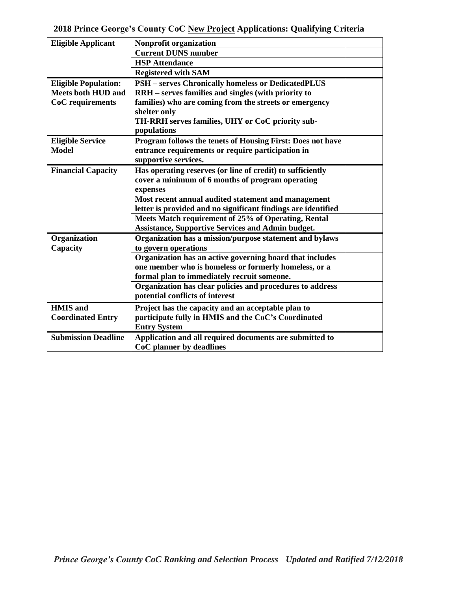| <b>Eligible Applicant</b>   | Nonprofit organization                                        |  |
|-----------------------------|---------------------------------------------------------------|--|
|                             | <b>Current DUNS number</b>                                    |  |
|                             | <b>HSP</b> Attendance                                         |  |
|                             | <b>Registered with SAM</b>                                    |  |
| <b>Eligible Population:</b> | <b>PSH</b> – serves Chronically homeless or DedicatedPLUS     |  |
| <b>Meets both HUD and</b>   | RRH – serves families and singles (with priority to           |  |
| CoC requirements            | families) who are coming from the streets or emergency        |  |
|                             | shelter only                                                  |  |
|                             | TH-RRH serves families, UHY or CoC priority sub-              |  |
|                             | populations                                                   |  |
| <b>Eligible Service</b>     | Program follows the tenets of Housing First: Does not have    |  |
| <b>Model</b>                | entrance requirements or require participation in             |  |
|                             | supportive services.                                          |  |
| <b>Financial Capacity</b>   | Has operating reserves (or line of credit) to sufficiently    |  |
|                             | cover a minimum of 6 months of program operating              |  |
|                             | expenses                                                      |  |
|                             | Most recent annual audited statement and management           |  |
|                             | letter is provided and no significant findings are identified |  |
|                             | Meets Match requirement of 25% of Operating, Rental           |  |
|                             | <b>Assistance, Supportive Services and Admin budget.</b>      |  |
| Organization                | Organization has a mission/purpose statement and bylaws       |  |
| Capacity                    | to govern operations                                          |  |
|                             | Organization has an active governing board that includes      |  |
|                             | one member who is homeless or formerly homeless, or a         |  |
|                             | formal plan to immediately recruit someone.                   |  |
|                             | Organization has clear policies and procedures to address     |  |
|                             | potential conflicts of interest                               |  |
| <b>HMIS</b> and             | Project has the capacity and an acceptable plan to            |  |
| <b>Coordinated Entry</b>    | participate fully in HMIS and the CoC's Coordinated           |  |
|                             | <b>Entry System</b>                                           |  |
| <b>Submission Deadline</b>  | Application and all required documents are submitted to       |  |
|                             | CoC planner by deadlines                                      |  |